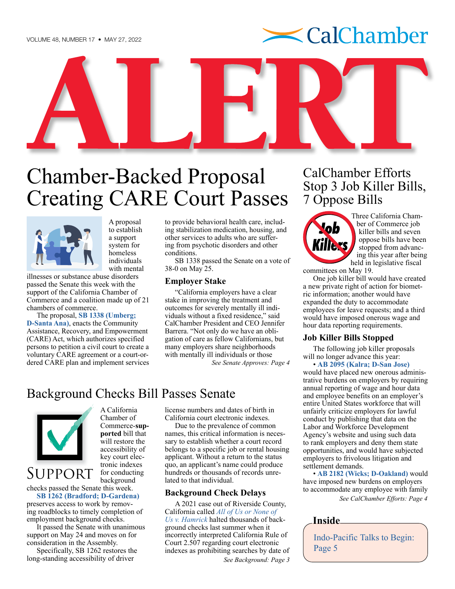# $\blacktriangle$  CalChamber



# Chamber-Backed Proposal Creating CARE Court Passes



A proposal to establish a support system for homeless individuals with mental

illnesses or substance abuse disorders passed the Senate this week with the support of the California Chamber of Commerce and a coalition made up of 21 chambers of commerce.

The proposal, **[SB 1338 \(Umberg;](https://ctweb.capitoltrack.com/public/search.aspx?t=bill&s=SB1338&go=Search&session=21&id=1dae9efb-651d-4a02-a05d-360ca7965b14)  [D-Santa Ana\)](https://ctweb.capitoltrack.com/public/search.aspx?t=bill&s=SB1338&go=Search&session=21&id=1dae9efb-651d-4a02-a05d-360ca7965b14)**, enacts the Community Assistance, Recovery, and Empowerment (CARE) Act, which authorizes specified persons to petition a civil court to create a voluntary CARE agreement or a court-ordered CARE plan and implement services to provide behavioral health care, including stabilization medication, housing, and other services to adults who are suffering from psychotic disorders and other conditions.

SB 1338 passed the Senate on a vote of 38-0 on May 25.

### **Employer Stake**

"California employers have a clear stake in improving the treatment and outcomes for severely mentally ill individuals without a fixed residence," said CalChamber President and CEO Jennifer Barrera. "Not only do we have an obligation of care as fellow Californians, but many employers share neighborhoods with mentally ill individuals or those

*See Senate Approves: Page 4*

### Background Checks Bill Passes Senate



A California Chamber of Commerce-**supported** bill that will restore the accessibility of key court electronic indexes for conducting background

# Support

checks passed the Senate this week. **[SB 1262 \(Bradford; D-Gardena\)](https://ctweb.capitoltrack.com/public/search.aspx?t=bill&s=SB1262&go=Search&session=21&id=1dae9efb-651d-4a02-a05d-360ca7965b14)** 

preserves access to work by removing roadblocks to timely completion of employment background checks.

It passed the Senate with unanimous support on May 24 and moves on for consideration in the Assembly.

Specifically, SB 1262 restores the long-standing accessibility of driver

license numbers and dates of birth in California court electronic indexes.

Due to the prevalence of common names, this critical information is necessary to establish whether a court record belongs to a specific job or rental housing applicant. Without a return to the status quo, an applicant's name could produce hundreds or thousands of records unrelated to that individual.

### **Background Check Delays**

A 2021 case out of Riverside County, California called *[All of Us or None of](https://law.justia.com/cases/california/court-of-appeal/2021/d076524.html)  [Us v. Hamrick](https://law.justia.com/cases/california/court-of-appeal/2021/d076524.html)* halted thousands of background checks last summer when it incorrectly interpreted California Rule of Court 2.507 regarding court electronic indexes as prohibiting searches by date of *See Background: Page 3*

# CalChamber Efforts Stop 3 Job Killer Bills, 7 Oppose Bills



[Thre](http://cajobkillers.com)e California Chamber of Commerce job killer bills and seven oppose bills have been stopped from advancing this year after being held in legislative fiscal

committees on May 19.

One job killer bill would have created a new private right of action for biometric information; another would have expanded the duty to accommodate employees for leave requests; and a third would have imposed onerous wage and hour data reporting requirements.

### **Job Killer Bills Stopped**

The following job killer proposals will no longer advance this year:

• **[AB 2095 \(Kalra; D-San Jose\)](https://ctweb.capitoltrack.com/public/search.aspx?t=bill&s=AB2095&go=Search&session=21&id=1dae9efb-651d-4a02-a05d-360ca7965b14)** would have placed new onerous administrative burdens on employers by requiring annual reporting of wage and hour data and employee benefits on an employer's entire United States workforce that will unfairly criticize employers for lawful conduct by publishing that data on the Labor and Workforce Development Agency's website and using such data to rank employers and deny them state opportunities, and would have subjected employers to frivolous litigation and settlement demands.

• **[AB 2182 \(Wicks; D-Oakland\)](https://ctweb.capitoltrack.com/public/search.aspx?t=bill&s=AB2182&go=Search&session=21&id=1dae9efb-651d-4a02-a05d-360ca7965b14)** would have imposed new burdens on employers to accommodate any employee with family *See CalChamber Efforts: Page 4*

### **Inside**

Indo-Pacific Talks to Begin: Page 5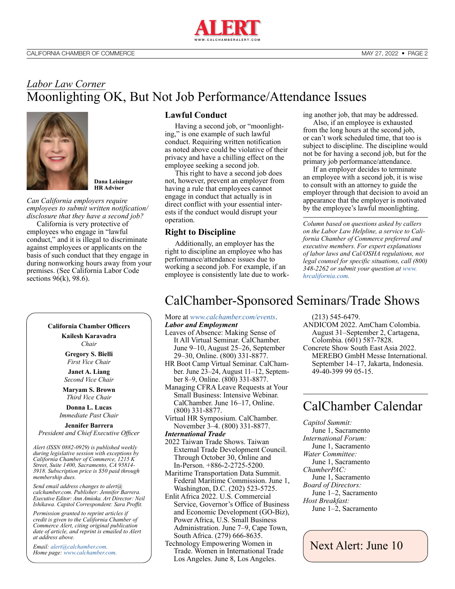

### *Labor Law Corner* Moonlighting OK, But Not Job Performance/Attendance Issues



**Dana Leisinger HR Adviser**

*Can California employers require employees to submit written notification/ disclosure that they have a second job?*

California is very protective of employees who engage in "lawful conduct," and it is illegal to discriminate against employees or applicants on the basis of such conduct that they engage in during nonworking hours away from your premises. (See California Labor Code sections  $96(k)$ ,  $98.6$ ).

### **California Chamber Officers**

**Kailesh Karavadra**

*Chair*

**Gregory S. Bielli** *First Vice Chair*

**Janet A. Liang** *Second Vice Chair*

**Maryam S. Brown** *Third Vice Chair*

**Donna L. Lucas** *Immediate Past Chair*

**Jennifer Barrera** *President and Chief Executive Officer*

*Alert (ISSN 0882-0929) is published weekly during legislative session with exceptions by California Chamber of Commerce, 1215 K Street, Suite 1400, Sacramento, CA 95814- 3918. Subscription price is \$50 paid through membership dues.* 

*Send email address changes to alert@ calchamber.com. Publisher: Jennifer Barrera. Executive Editor: Ann Amioka. Art Director: Neil Ishikawa. Capitol Correspondent: Sara Proffit.* 

*Permission granted to reprint articles if credit is given to the California Chamber of Commerce Alert, citing original publication date of article, and reprint is emailed to Alert at address above.* 

*Email: [alert@calchamber.com.](mailto:alert%40calchamber.com?subject=) Home page: [www.calchamber.com](http://www.calchamber.com).*

### **Lawful Conduct**

Having a second job, or "moonlighting," is one example of such lawful conduct. Requiring written notification as noted above could be violative of their privacy and have a chilling effect on the employee seeking a second job.

This right to have a second job does not, however, prevent an employer from having a rule that employees cannot engage in conduct that actually is in direct conflict with your essential interests if the conduct would disrupt your operation.

### **Right to Discipline**

Additionally, an employer has the right to discipline an employee who has performance/attendance issues due to working a second job. For example, if an employee is consistently late due to working another job, that may be addressed.

Also, if an employee is exhausted from the long hours at the second job, or can't work scheduled time, that too is subject to discipline. The discipline would not be for having a second job, but for the primary job performance/attendance.

If an employer decides to terminate an employee with a second job, it is wise to consult with an attorney to guide the employer through that decision to avoid an appearance that the employer is motivated by the employee's lawful moonlighting.

*Column based on questions asked by callers on the Labor Law Helpline, a service to California Chamber of Commerce preferred and executive members. For expert explanations of labor laws and Cal/OSHA regulations, not legal counsel for specific situations, call (800) 348-2262 or submit your question at [www.](http://www.hrcalifornia.com) [hrcalifornia.com](http://www.hrcalifornia.com).*

## CalChamber-Sponsored Seminars/Trade Shows

More at *[www.calchamber.com/events](http://www.calchamber.com/events)*. *Labor and Employment*

- Leaves of Absence: Making Sense of It All Virtual Seminar. CalChamber. June 9–10, August 25–26, September 29–30, Online. (800) 331-8877.
- HR Boot Camp Virtual Seminar. CalChamber. June 23–24, August 11–12, September 8–9, Online. (800) 331-8877.
- Managing CFRA Leave Requests at Your Small Business: Intensive Webinar. CalChamber. June 16–17, Online. (800) 331-8877.
- Virtual HR Symposium. CalChamber. November 3–4. (800) 331-8877.

*International Trade*

2022 Taiwan Trade Shows. Taiwan External Trade Development Council. Through October 30, Online and In-Person. +886-2-2725-5200.

Maritime Transportation Data Summit. Federal Maritime Commission. June 1, Washington, D.C. (202) 523-5725.

Enlit Africa 2022. U.S. Commercial Service, Governor's Office of Business and Economic Development (GO-Biz), Power Africa, U.S. Small Business Administration. June 7–9, Cape Town, South Africa. (279) 666-8635.

Technology Empowering Women in Trade. Women in International Trade Los Angeles. June 8, Los Angeles.

(213) 545-6479.

- ANDICOM 2022. AmCham Colombia. August 31–September 2, Cartagena, Colombia. (601) 587-7828.
- Concrete Show South East Asia 2022. MEREBO GmbH Messe International. September 14–17, Jakarta, Indonesia. 49-40-399 99 05-15.

## CalChamber Calendar

*Capitol Summit:*  June 1, Sacramento *International Forum:*  June 1, Sacramento *Water Committee:*  June 1, Sacramento *ChamberPAC:*  June 1, Sacramento *Board of Directors:* June 1–2, Sacramento *Host Breakfast:*  June 1–2, Sacramento

Next Alert: June 10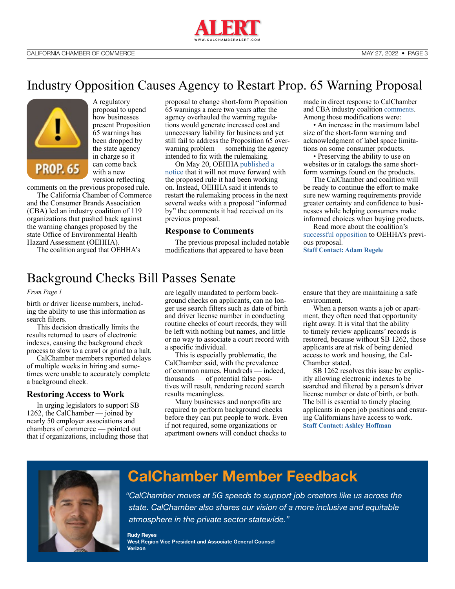

### Industry Opposition Causes Agency to Restart Prop. 65 Warning Proposal



A regulatory proposal to upend how businesses present Proposition 65 warnings has been dropped by the state agency in charge so it can come back with a new version reflecting

comments on the previous proposed rule.

The California Chamber of Commerce and the Consumer Brands Association (CBA) led an industry coalition of 119 organizations that pushed back against the warning changes proposed by the state Office of Environmental Health Hazard Assessment (OEHHA).

The coalition argued that OEHHA's

proposal to change short-form Proposition 65 warnings a mere two years after the agency overhauled the warning regulations would generate increased cost and unnecessary liability for business and yet still fail to address the Proposition 65 overwarning problem — something the agency intended to fix with the rulemaking.

On May 20, OEHHA [published a](https://oehha.ca.gov/proposition-65/crnr/notice-modification-text-proposed-regulation-title-27-california-code-3)  [notice](https://oehha.ca.gov/proposition-65/crnr/notice-modification-text-proposed-regulation-title-27-california-code-3) that it will not move forward with the proposed rule it had been working on. Instead, OEHHA said it intends to restart the rulemaking process in the next several weeks with a proposal "informed by" the comments it had received on its previous proposal.

### **Response to Comments**

The previous proposal included notable modifications that appeared to have been

made in direct response to CalChamber and CBA industry coalition [comments](https://oehha.ca.gov/media/dockets/20021/20256-coalition_calchamber_consumer_brands_association_et_al_prop_65_comment_letter_re_proposed_amendments_short-form_warnings/coalition_prop_65_comment_letter_re_proposed_amendments_short_form_warnings.pdf). Among those modifications were:

• An increase in the maximum label size of the short-form warning and acknowledgment of label space limitations on some consumer products.

• Preserving the ability to use on websites or in catalogs the same shortform warnings found on the products.

The CalChamber and coalition will be ready to continue the effort to make sure new warning requirements provide greater certainty and confidence to businesses while helping consumers make informed choices when buying products.

Read more about the coalition's [successful opposition](https://calchamberalert.com/2022/01/07/calchamber-coalition-gain-some-changes-to-flawed-prop-65-warning-rulemaking/) to OEHHA's previous proposal. **[Staff Contact: Adam Regele](https://advocacy.calchamber.com/bios/adam-regele/)**

## Background Checks Bill Passes Senate

#### *From Page 1*

birth or driver license numbers, including the ability to use this information as search filters.

This decision drastically limits the results returned to users of electronic indexes, causing the background check process to slow to a crawl or grind to a halt.

CalChamber members reported delays of multiple weeks in hiring and sometimes were unable to accurately complete a background check.

### **Restoring Access to Work**

In urging legislators to support SB 1262, the CalChamber — joined by nearly 50 employer associations and chambers of commerce — pointed out that if organizations, including those that are legally mandated to perform background checks on applicants, can no longer use search filters such as date of birth and driver license number in conducting routine checks of court records, they will be left with nothing but names, and little or no way to associate a court record with a specific individual.

This is especially problematic, the CalChamber said, with the prevalence of common names. Hundreds — indeed, thousands — of potential false positives will result, rendering record search results meaningless.

Many businesses and nonprofits are required to perform background checks before they can put people to work. Even if not required, some organizations or apartment owners will conduct checks to

ensure that they are maintaining a safe environment.

When a person wants a job or apartment, they often need that opportunity right away. It is vital that the ability to timely review applicants' records is restored, because without SB 1262, those applicants are at risk of being denied access to work and housing, the Cal-Chamber stated.

SB 1262 resolves this issue by explicitly allowing electronic indexes to be searched and filtered by a person's driver license number or date of birth, or both. The bill is essential to timely placing applicants in open job positions and ensuring Californians have access to work. **[Staff Contact: Ashley Hoffman](https://advocacy.calchamber.com/bios/ashley-hoffman/)**



# **CalChamber Member Feedback**

*"CalChamber moves at 5G speeds to support job creators like us across the state. CalChamber also shares our vision of a more inclusive and equitable atmosphere in the private sector statewide."*

**Rudy Reyes West Region Vice President and Associate General Counsel Verizon**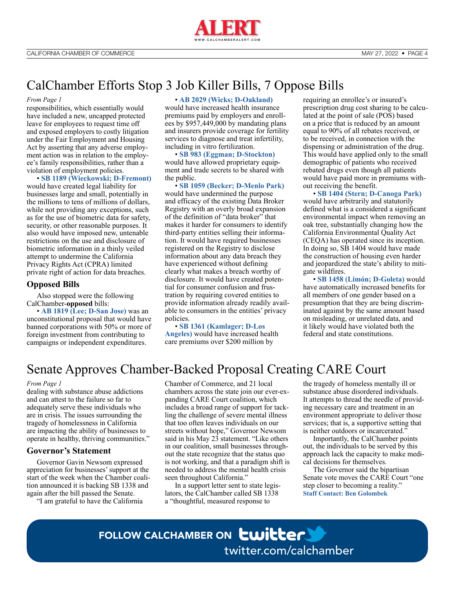

# CalChamber Efforts Stop 3 Job Killer Bills, 7 Oppose Bills

#### *From Page 1*

responsibilities, which essentially would have included a new, uncapped protected leave for employees to request time off and exposed employers to costly litigation under the Fair Employment and Housing Act by asserting that any adverse employment action was in relation to the employee's family responsibilities, rather than a violation of employment policies.

• **[SB 1189 \(Wieckowski; D-Fremont\)](https://ctweb.capitoltrack.com/public/search.aspx?t=bill&s=SB1189&go=Search&session=21&id=1dae9efb-651d-4a02-a05d-360ca7965b14)**  would have created legal liability for businesses large and small, potentially in the millions to tens of millions of dollars, while not providing any exceptions, such as for the use of biometric data for safety, security, or other reasonable purposes. It also would have imposed new, untenable restrictions on the use and disclosure of biometric information in a thinly veiled attempt to undermine the California Privacy Rights Act (CPRA) limited private right of action for data breaches.

### **Opposed Bills**

Also stopped were the following CalChamber-**opposed** bills:

• **[AB 1819 \(Lee; D-San Jose\)](https://ctweb.capitoltrack.com/public/search.aspx?t=bill&s=AB1819&go=Search&session=21&id=1dae9efb-651d-4a02-a05d-360ca7965b14)** was an unconstitutional proposal that would have banned corporations with 50% or more of foreign investment from contributing to campaigns or independent expenditures.

### • **[AB 2029 \(Wicks; D-Oakland\)](https://ctweb.capitoltrack.com/public/search.aspx?t=bill&s=AB2029&go=Search&session=21&id=1dae9efb-651d-4a02-a05d-360ca7965b14)**

would have increased health insurance premiums paid by employers and enrollees by \$957,449,000 by mandating plans and insurers provide coverage for fertility services to diagnose and treat infertility, including in vitro fertilization.

• **[SB 983 \(Eggman; D-Stockton\)](https://ctweb.capitoltrack.com/public/search.aspx?t=bill&s=SB983&go=Search&session=21&id=1dae9efb-651d-4a02-a05d-360ca7965b14)**  would have allowed proprietary equipment and trade secrets to be shared with the public.

• **[SB 1059 \(Becker; D-Menlo Park\)](https://ctweb.capitoltrack.com/public/search.aspx?t=bill&s=SB1059&go=Search&session=21&id=1dae9efb-651d-4a02-a05d-360ca7965b14)**  would have undermined the purpose and efficacy of the existing Data Broker Registry with an overly broad expansion of the definition of "data broker" that makes it harder for consumers to identify third-party entities selling their information. It would have required businesses registered on the Registry to disclose information about any data breach they have experienced without defining clearly what makes a breach worthy of disclosure. It would have created potential for consumer confusion and frustration by requiring covered entities to provide information already readily available to consumers in the entities' privacy policies.

• **[SB 1361 \(Kamlager; D-Los](https://ctweb.capitoltrack.com/public/search.aspx?t=bill&s=SB1361&go=Search&session=21&id=1dae9efb-651d-4a02-a05d-360ca7965b14)  [Angeles\)](https://ctweb.capitoltrack.com/public/search.aspx?t=bill&s=SB1361&go=Search&session=21&id=1dae9efb-651d-4a02-a05d-360ca7965b14)** would have increased health care premiums over \$200 million by

requiring an enrollee's or insured's prescription drug cost sharing to be calculated at the point of sale (POS) based on a price that is reduced by an amount equal to 90% of all rebates received, or to be received, in connection with the dispensing or administration of the drug. This would have applied only to the small demographic of patients who received rebated drugs even though all patients would have paid more in premiums without receiving the benefit.

• **[SB 1404 \(Stern; D-Canoga Park\)](https://ctweb.capitoltrack.com/public/search.aspx?t=bill&s=SB1404&go=Search&session=21&id=1dae9efb-651d-4a02-a05d-360ca7965b14)**  would have arbitrarily and statutorily defined what is a considered a significant environmental impact when removing an oak tree, substantially changing how the California Environmental Quality Act (CEQA) has operated since its inception. In doing so, SB 1404 would have made the construction of housing even harder and jeopardized the state's ability to mitigate wildfires.

• **[SB 1458 \(Limón; D-Goleta\)](https://ctweb.capitoltrack.com/public/search.aspx?t=bill&s=SB1458&go=Search&session=21&id=1dae9efb-651d-4a02-a05d-360ca7965b14)** would have automatically increased benefits for all members of one gender based on a presumption that they are being discriminated against by the same amount based on misleading, or unrelated data, and it likely would have violated both the federal and state constitutions.

### Senate Approves Chamber-Backed Proposal Creating CARE Court

#### *From Page 1*

dealing with substance abuse addictions and can attest to the failure so far to adequately serve these individuals who are in crisis. The issues surrounding the tragedy of homelessness in California are impacting the ability of businesses to operate in healthy, thriving communities."

### **Governor's Statement**

Governor Gavin Newsom expressed appreciation for businesses' support at the start of the week when the Chamber coalition announced it is backing SB 1338 and again after the bill passed the Senate.

"I am grateful to have the California

Chamber of Commerce, and 21 local chambers across the state join our ever-expanding CARE Court coalition, which includes a broad range of support for tackling the challenge of severe mental illness that too often leaves individuals on our streets without hope," Governor Newsom said in his May 23 statement. "Like others in our coalition, small businesses throughout the state recognize that the status quo is not working, and that a paradigm shift is needed to address the mental health crisis seen throughout California."

In a support letter sent to state legislators, the CalChamber called SB 1338 a "thoughtful, measured response to

the tragedy of homeless mentally ill or substance abuse disordered individuals. It attempts to thread the needle of providing necessary care and treatment in an environment appropriate to deliver those services; that is, a supportive setting that is neither outdoors or incarcerated."

Importantly, the CalChamber points out, the individuals to be served by this approach lack the capacity to make medical decisions for themselves.

The Governor said the bipartisan Senate vote moves the CARE Court "one step closer to becoming a reality." **[Staff Contact: Ben Golombek](https://advocacy.calchamber.com/bios/ben-golombek/)**

# FOLLOW CALCHAMBER ON **LWILLER** [twitter.com/calchamber](http://twitter.com/calchamber)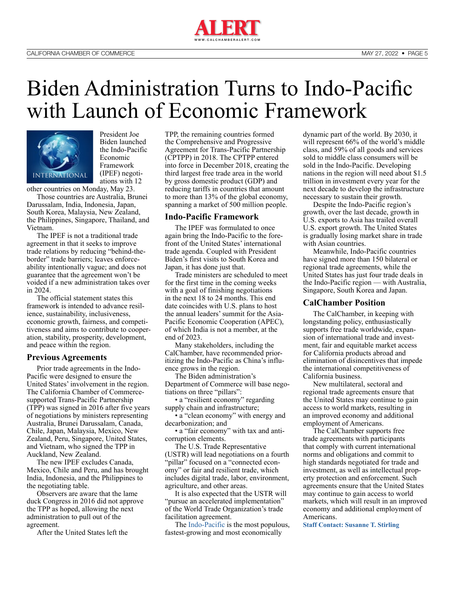

# Biden Administration Turns to Indo-Pacific with Launch of Economic Framework



President Joe Biden launched the Indo-Pacific Economic Framework (IPEF) negotiations with 12

other countries on Monday, May 23.

Those countries are Australia, Brunei Darussalam, India, Indonesia, Japan, South Korea, Malaysia, New Zealand, the Philippines, Singapore, Thailand, and Vietnam.

The IPEF is not a traditional trade agreement in that it seeks to improve trade relations by reducing "behind-theborder" trade barriers; leaves enforceability intentionally vague; and does not guarantee that the agreement won't be voided if a new administration takes over in 2024.

The official statement states this framework is intended to advance resilience, sustainability, inclusiveness, economic growth, fairness, and competitiveness and aims to contribute to cooperation, stability, prosperity, development, and peace within the region.

### **Previous Agreements**

Prior trade agreements in the Indo-Pacific were designed to ensure the United States' involvement in the region. The California Chamber of Commercesupported Trans-Pacific Partnership (TPP) was signed in 2016 after five years of negotiations by ministers representing Australia, Brunei Darussalam, Canada, Chile, Japan, Malaysia, Mexico, New Zealand, Peru, Singapore, United States, and Vietnam, who signed the TPP in Auckland, New Zealand.

The new IPEF excludes Canada, Mexico, Chile and Peru, and has brought India, Indonesia, and the Philippines to the negotiating table.

Observers are aware that the lame duck Congress in 2016 did not approve the TPP as hoped, allowing the next administration to pull out of the agreement.

After the United States left the

TPP, the remaining countries formed the Comprehensive and Progressive Agreement for Trans-Pacific Partnership (CPTPP) in 2018. The CPTPP entered into force in December 2018, creating the third largest free trade area in the world by gross domestic product (GDP) and reducing tariffs in countries that amount to more than 13% of the global economy, spanning a market of 500 million people.

### **Indo-Pacific Framework**

The IPEF was formulated to once again bring the Indo-Pacific to the forefront of the United States' international trade agenda. Coupled with President Biden's first visits to South Korea and Japan, it has done just that.

Trade ministers are scheduled to meet for the first time in the coming weeks with a goal of finishing negotiations in the next 18 to 24 months. This end date coincides with U.S. plans to host the annual leaders' summit for the Asia-Pacific Economic Cooperation (APEC), of which India is not a member, at the end of 2023.

Many stakeholders, including the CalChamber, have recommended prioritizing the Indo-Pacific as China's influence grows in the region.

The Biden administration's Department of Commerce will base negotiations on three "pillars":

• a "resilient economy" regarding supply chain and infrastructure;

• a "clean economy" with energy and decarbonization; and

• a "fair economy" with tax and anticorruption elements.

The U.S. Trade Representative (USTR) will lead negotiations on a fourth "pillar" focused on a "connected economy" or fair and resilient trade, which includes digital trade, labor, environment, agriculture, and other areas.

It is also expected that the USTR will "pursue an accelerated implementation" of the World Trade Organization's trade facilitation agreement.

The [Indo-Pacific](https://advocacy.calchamber.com/policy/issues/trans-pacific-trade-relations/) is the most populous, fastest-growing and most economically

dynamic part of the world. By 2030, it will represent 66% of the world's middle class, and 59% of all goods and services sold to middle class consumers will be sold in the Indo-Pacific. Developing nations in the region will need about \$1.5 trillion in investment every year for the next decade to develop the infrastructure necessary to sustain their growth.

Despite the Indo-Pacific region's growth, over the last decade, growth in U.S. exports to Asia has trailed overall U.S. export growth. The United States is gradually losing market share in trade with Asian countries.

Meanwhile, Indo-Pacific countries have signed more than 150 bilateral or regional trade agreements, while the United States has just four trade deals in the Indo-Pacific region — with Australia, Singapore, South Korea and Japan.

### **CalChamber Position**

The CalChamber, in keeping with longstanding policy, enthusiastically supports free trade worldwide, expansion of international trade and investment, fair and equitable market access for California products abroad and elimination of disincentives that impede the international competitiveness of California business.

New multilateral, sectoral and regional trade agreements ensure that the United States may continue to gain access to world markets, resulting in an improved economy and additional employment of Americans.

The CalChamber supports free trade agreements with participants that comply with current international norms and obligations and commit to high standards negotiated for trade and investment, as well as intellectual property protection and enforcement. Such agreements ensure that the United States may continue to gain access to world markets, which will result in an improved economy and additional employment of Americans.

**[Staff Contact: Susanne T. Stirling](https://advocacy.calchamber.com/bios/susanne-stirling/)**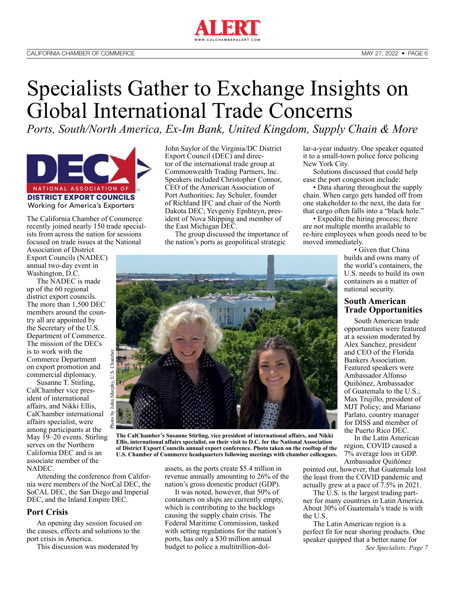

# Specialists Gather to Exchange Insights on Global International Trade Concerns

*Ports, South/North America, Ex-Im Bank, United Kingdom, Supply Chain & More*



The California Chamber of Commerce recently joined nearly 150 trade specialists from across the nation for sessions focused on trade issues at the National

Association of District Export Councils (NADEC) annual two-day event in Washington, D.C.

The NADEC is made up of the 60 regional district export councils. The more than 1,500 DEC members around the country all are appointed by the Secretary of the U.S. Department of Commerce. The mission of the DECs is to work with the Commerce Department on export promotion and commercial diplomacy.

Susanne T. Stirling, CalChamber vice president of international affairs, and Nikki Ellis, CalChamber international affairs specialist, were among participants at the May 19–20 events. Stirling serves on the Northern California DEC and is an associate member of the NADEC.

Attending the conference from California were members of the NorCal DEC, the SoCAL DEC, the San Diego and Imperial DEC, and the Inland Empire DEC.

### **Port Crisis**

An opening day session focused on the causes, effects and solutions to the port crisis in America.

This discussion was moderated by

John Saylor of the Virginia/DC District Export Council (DEC) and director of the international trade group at Commonwealth Trading Partners, Inc. Speakers included Christopher Connor, CEO of the American Association of Port Authorities; Jay Schuler, founder of Richland IFC and chair of the North Dakota DEC; Yevgeniy Epshteyn, president of Nova Shipping and member of the East Michigan DEC.

The group discussed the importance of the nation's ports as geopolitical strategic

lar-a-year industry. One speaker equated it to a small-town police force policing New York City.

Solutions discussed that could help ease the port congestion include:

• Data sharing throughout the supply chain. When cargo gets handed off from one stakeholder to the next, the data for that cargo often falls into a "black hole."

• Expedite the hiring process; there are not multiple months available to re-hire employees when goods need to be moved immediately.

• Given that China builds and owns many of the world's containers, the U.S. needs to build its own containers as a matter of national security.

### **South American Trade Opportunities**

South American trade opportunities were featured at a session moderated by Alex Sanchez, president and CEO of the Florida Bankers Association. Featured speakers were Ambassador Alfonso Quiñónez, Ambassador of Guatemala to the U.S.; Max Trujillo, president of MJT Policy; and Mariano Parlato, country manager for DISS and member of the Puerto Rico DEC.

In the Latin American region, COVID caused a 7% average loss in GDP. Ambassador Quiñónez

pointed out, however, that Guatemala lost the least from the COVID pandemic and actually grew at a pace of 7.5% in 2021.

The U.S. is the largest trading partner for many countries in Latin America. About 30% of Guatemala's trade is with the U.S.

The Latin American region is a perfect fit for near shoring products. One speaker quipped that a better name for *See Specialists: Page 7*



**The CalChamber's Susanne Stirling, vice president of international affairs, and Nikki Ellis, international affairs specialist, on their visit to D.C. for the National Association of District Export Councils annual export conference. Photo taken on the rooftop of the U.S. Chamber of Commerce headquarters following meetings with chamber colleagues.**

assets, as the ports create \$5.4 trillion in revenue annually amounting to 26% of the nation's gross domestic product (GDP).

It was noted, however, that 50% of containers on ships are currently empty, which is contributing to the backlogs causing the supply chain crisis. The Federal Maritime Commission, tasked with setting regulations for the nation's ports, has only a \$30 million annual budget to police a multitrillion-dol-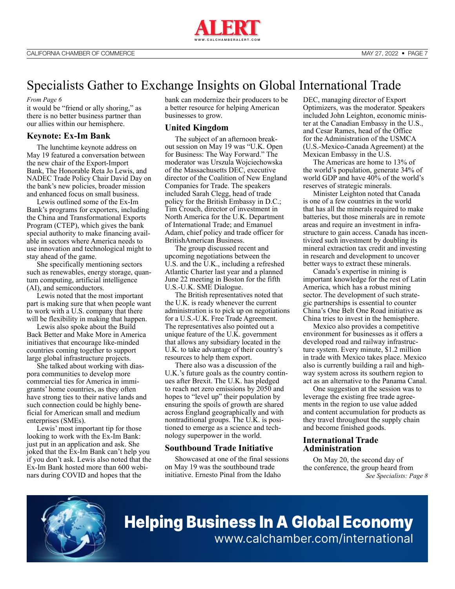

## Specialists Gather to Exchange Insights on Global International Trade

#### *From Page 6*

it would be "friend or ally shoring," as there is no better business partner than our allies within our hemisphere.

### **Keynote: Ex-Im Bank**

The lunchtime keynote address on May 19 featured a conversation between the new chair of the Export-Import Bank, The Honorable Reta Jo Lewis, and NADEC Trade Policy Chair David Day on the bank's new policies, broader mission and enhanced focus on small business.

Lewis outlined some of the Ex-Im Bank's programs for exporters, including the China and Transformational Exports Program (CTEP), which gives the bank special authority to make financing available in sectors where America needs to use innovation and technological might to stay ahead of the game.

She specifically mentioning sectors such as renewables, energy storage, quantum computing, artificial intelligence (AI), and semiconductors.

Lewis noted that the most important part is making sure that when people want to work with a U.S. company that there will be flexibility in making that happen.

Lewis also spoke about the Build Back Better and Make More in America initiatives that encourage like-minded countries coming together to support large global infrastructure projects.

She talked about working with diaspora communities to develop more commercial ties for America in immigrants' home countries, as they often have strong ties to their native lands and such connection could be highly beneficial for American small and medium enterprises (SMEs).

Lewis' most important tip for those looking to work with the Ex-Im Bank: just put in an application and ask. She joked that the Ex-Im Bank can't help you if you don't ask. Lewis also noted that the Ex-Im Bank hosted more than 600 webinars during COVID and hopes that the

bank can modernize their producers to be a better resource for helping American businesses to grow.

### **United Kingdom**

The subject of an afternoon breakout session on May 19 was "U.K. Open for Business: The Way Forward." The moderator was Urszula Wojciechowska of the Massachusetts DEC, executive director of the Coalition of New England Companies for Trade. The speakers included Sarah Clegg, head of trade policy for the British Embassy in D.C.; Tim Crouch, director of investment in North America for the U.K. Department of International Trade; and Emanuel Adam, chief policy and trade officer for BritishAmerican Business.

The group discussed recent and upcoming negotiations between the U.S. and the U.K., including a refreshed Atlantic Charter last year and a planned June 22 meeting in Boston for the fifth U.S.-U.K. SME Dialogue.

The British representatives noted that the U.K. is ready whenever the current administration is to pick up on negotiations for a U.S.-U.K. Free Trade Agreement. The representatives also pointed out a unique feature of the U.K. government that allows any subsidiary located in the U.K. to take advantage of their country's resources to help them export.

There also was a discussion of the U.K.'s future goals as the country continues after Brexit. The U.K. has pledged to reach net zero emissions by 2050 and hopes to "level up" their population by ensuring the spoils of growth are shared across England geographically and with nontraditional groups. The U.K. is positioned to emerge as a science and technology superpower in the world.

### **Southbound Trade Initiative**

Showcased at one of the final sessions on May 19 was the southbound trade initiative. Ernesto Pinal from the Idaho

DEC, managing director of Export Optimizers, was the moderator. Speakers included John Leighton, economic minister at the Canadian Embassy in the U.S., and Cesar Rames, head of the Office for the Administration of the USMCA (U.S.-Mexico-Canada Agreement) at the Mexican Embassy in the U.S.

The Americas are home to 13% of the world's population, generate 34% of world GDP and have 40% of the world's reserves of strategic minerals.

Minister Leighton noted that Canada is one of a few countries in the world that has all the minerals required to make batteries, but those minerals are in remote areas and require an investment in infrastructure to gain access. Canada has incentivized such investment by doubling its mineral extraction tax credit and investing in research and development to uncover better ways to extract these minerals.

Canada's expertise in mining is important knowledge for the rest of Latin America, which has a robust mining sector. The development of such strategic partnerships is essential to counter China's One Belt One Road initiative as China tries to invest in the hemisphere.

Mexico also provides a competitive environment for businesses as it offers a developed road and railway infrastructure system. Every minute, \$1.2 million in trade with Mexico takes place. Mexico also is currently building a rail and highway system across its southern region to act as an alternative to the Panama Canal.

One suggestion at the session was to leverage the existing free trade agreements in the region to use value added and content accumulation for products as they travel throughout the supply chain and become finished goods.

### **International Trade Administration**

On May 20, the second day of the conference, the group heard from *See Specialists: Page 8*



# [Helping Business In A Global Economy](http://www.calchamber.com/international) www.calchamber.com/international